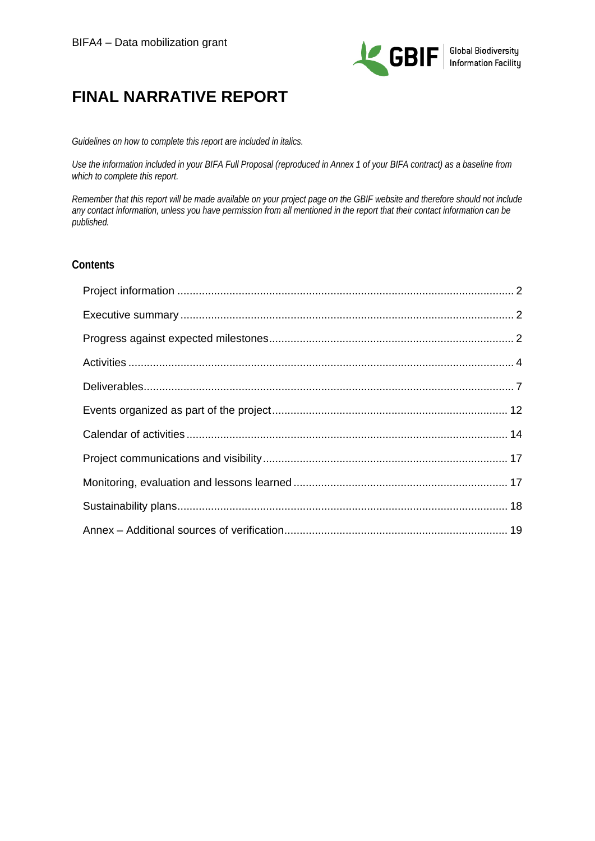

# **FINAL NARRATIVE REPORT**

*Guidelines on how to complete this report are included in italics.* 

*Use the information included in your BIFA Full Proposal (reproduced in Annex 1 of your BIFA contract) as a baseline from which to complete this report.*

*Remember that this report will be made available on your project page on the GBIF website and therefore should not include any contact information, unless you have permission from all mentioned in the report that their contact information can be published.*

### **Contents**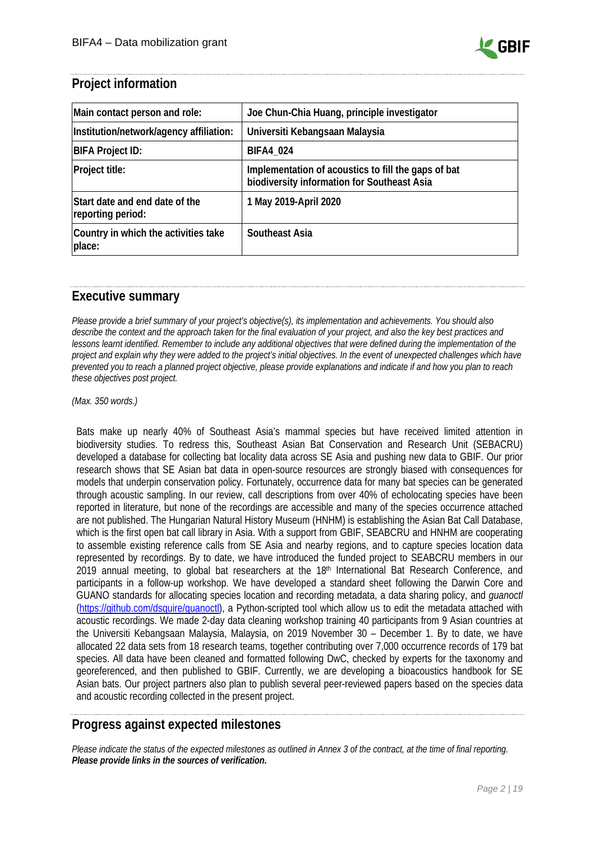

### <span id="page-1-0"></span>**Project information**

| Main contact person and role:                       | Joe Chun-Chia Huang, principle investigator                                                        |
|-----------------------------------------------------|----------------------------------------------------------------------------------------------------|
| Institution/network/agency affiliation:             | Universiti Kebangsaan Malaysia                                                                     |
| <b>BIFA Project ID:</b>                             | <b>BIFA4_024</b>                                                                                   |
| <b>Project title:</b>                               | Implementation of acoustics to fill the gaps of bat<br>biodiversity information for Southeast Asia |
| Start date and end date of the<br>reporting period: | 1 May 2019-April 2020                                                                              |
| Country in which the activities take<br>place:      | Southeast Asia                                                                                     |

### <span id="page-1-1"></span>**Executive summary**

*Please provide a brief summary of your project's objective(s), its implementation and achievements. You should also describe the context and the approach taken for the final evaluation of your project, and also the key best practices and lessons learnt identified. Remember to include any additional objectives that were defined during the implementation of the project and explain why they were added to the project's initial objectives. In the event of unexpected challenges which have prevented you to reach a planned project objective, please provide explanations and indicate if and how you plan to reach these objectives post project.*

*(Max. 350 words.)*

<span id="page-1-2"></span>Bats make up nearly 40% of Southeast Asia's mammal species but have received limited attention in biodiversity studies. To redress this, Southeast Asian Bat Conservation and Research Unit [\(SEBACRU\)](http://www.seabcru.org/) developed a database for collecting bat locality data across SE Asia and pushing new data to GBIF. Our prior research shows that SE Asian bat data in open-source resources are strongly biased with consequences for models that underpin conservation policy. Fortunately, occurrence data for many bat species can be generated through acoustic sampling. In our review, call descriptions from over 40% of echolocating species have been reported in literature, but none of the recordings are accessible and many of the species occurrence attached are not published. The Hungarian Natural History Museum (HNHM) is establishing the Asian Bat Call Database, which is the first open bat call library in Asia. With a support from GBIF, SEABCRU and HNHM are cooperating to assemble existing reference calls from SE Asia and nearby regions, and to capture species location data represented by recordings. By to date, we have introduced the funded project to SEABCRU members in our 2019 annual meeting, to global bat researchers at the 18th International Bat Research Conference, and participants in a follow-up workshop. We have developed a standard sheet following the Darwin Core and GUANO standards for allocating species location and recording metadata, a data sharing policy, and *guanoctl* [\(https://github.com/dsquire/guanoctl\)](https://github.com/dsquire/guanoctl), a Python-scripted tool which allow us to edit the metadata attached with acoustic recordings. We made 2-day data cleaning workshop training 40 participants from 9 Asian countries at the Universiti Kebangsaan Malaysia, Malaysia, on 2019 November 30 – December 1. By to date, we have allocated 22 data sets from 18 research teams, together contributing over 7,000 occurrence records of 179 bat species. All data have been cleaned and formatted following DwC, checked by experts for the taxonomy and georeferenced, and then published to GBIF. Currently, we are developing a bioacoustics handbook for SE Asian bats. Our project partners also plan to publish several peer-reviewed papers based on the species data and acoustic recording collected in the present project.

### **Progress against expected milestones**

*Please indicate the status of the expected milestones as outlined in Annex 3 of the contract, at the time of final reporting. Please provide links in the sources of verification.*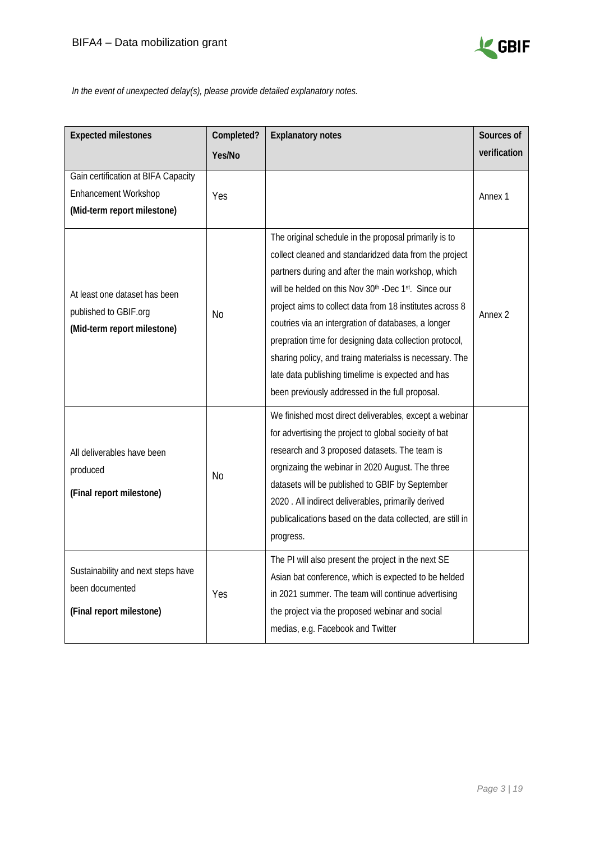

*In the event of unexpected delay(s), please provide detailed explanatory notes.*

| <b>Expected milestones</b>                                                                        | Completed?     | <b>Explanatory notes</b>                                                                                                                                                                                                                                                                                                                                                                                                                                                                                                                                                      | Sources of   |
|---------------------------------------------------------------------------------------------------|----------------|-------------------------------------------------------------------------------------------------------------------------------------------------------------------------------------------------------------------------------------------------------------------------------------------------------------------------------------------------------------------------------------------------------------------------------------------------------------------------------------------------------------------------------------------------------------------------------|--------------|
|                                                                                                   | Yes/No         |                                                                                                                                                                                                                                                                                                                                                                                                                                                                                                                                                                               | verification |
| Gain certification at BIFA Capacity<br><b>Enhancement Workshop</b><br>(Mid-term report milestone) | Yes            |                                                                                                                                                                                                                                                                                                                                                                                                                                                                                                                                                                               | Annex 1      |
| At least one dataset has been<br>published to GBIF.org<br>(Mid-term report milestone)             | <b>No</b>      | The original schedule in the proposal primarily is to<br>collect cleaned and standaridzed data from the project<br>partners during and after the main workshop, which<br>will be helded on this Nov 30th -Dec 1st. Since our<br>project aims to collect data from 18 institutes across 8<br>coutries via an intergration of databases, a longer<br>prepration time for designing data collection protocol,<br>sharing policy, and traing materialss is necessary. The<br>late data publishing timelime is expected and has<br>been previously addressed in the full proposal. | Annex 2      |
| All deliverables have been<br>produced<br>(Final report milestone)                                | N <sub>o</sub> | We finished most direct deliverables, except a webinar<br>for advertising the project to global socieity of bat<br>research and 3 proposed datasets. The team is<br>orgnizaing the webinar in 2020 August. The three<br>datasets will be published to GBIF by September<br>2020 . All indirect deliverables, primarily derived<br>publicalications based on the data collected, are still in<br>progress.                                                                                                                                                                     |              |
| Sustainability and next steps have<br>been documented<br>(Final report milestone)                 | Yes            | The PI will also present the project in the next SE<br>Asian bat conference, which is expected to be helded<br>in 2021 summer. The team will continue advertising<br>the project via the proposed webinar and social<br>medias, e.g. Facebook and Twitter                                                                                                                                                                                                                                                                                                                     |              |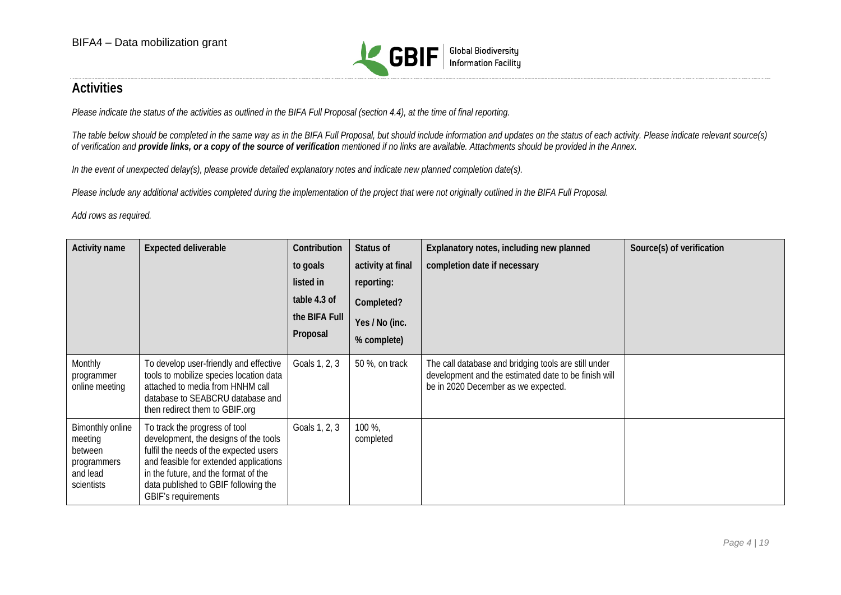

# **Activities**

*Please indicate the status of the activities as outlined in the BIFA Full Proposal (section 4.4), at the time of final reporting.* 

The table below should be completed in the same way as in the BIFA Full Proposal, but should include information and updates on the status of each activity. Please indicate relevant source(s) *of verification and provide links, or a copy of the source of verification mentioned if no links are available. Attachments should be provided in the Annex.*

*In the event of unexpected delay(s), please provide detailed explanatory notes and indicate new planned completion date(s).*

*Please include any additional activities completed during the implementation of the project that were not originally outlined in the BIFA Full Proposal.* 

*Add rows as required.*

<span id="page-3-0"></span>

| <b>Activity name</b>                                                            | <b>Expected deliverable</b>                                                                                                                                                                                                                                              | Contribution  | Status of           | Explanatory notes, including new planned                                                                                                            | Source(s) of verification |
|---------------------------------------------------------------------------------|--------------------------------------------------------------------------------------------------------------------------------------------------------------------------------------------------------------------------------------------------------------------------|---------------|---------------------|-----------------------------------------------------------------------------------------------------------------------------------------------------|---------------------------|
|                                                                                 |                                                                                                                                                                                                                                                                          | to goals      | activity at final   | completion date if necessary                                                                                                                        |                           |
|                                                                                 |                                                                                                                                                                                                                                                                          | listed in     | reporting:          |                                                                                                                                                     |                           |
|                                                                                 |                                                                                                                                                                                                                                                                          | table 4.3 of  | Completed?          |                                                                                                                                                     |                           |
|                                                                                 |                                                                                                                                                                                                                                                                          | the BIFA Full | Yes / No (inc.      |                                                                                                                                                     |                           |
|                                                                                 |                                                                                                                                                                                                                                                                          | Proposal      | % complete)         |                                                                                                                                                     |                           |
| Monthly<br>programmer<br>online meeting                                         | To develop user-friendly and effective<br>tools to mobilize species location data<br>attached to media from HNHM call<br>database to SEABCRU database and<br>then redirect them to GBIF.org                                                                              | Goals 1, 2, 3 | 50 %, on track      | The call database and bridging tools are still under<br>development and the estimated date to be finish will<br>be in 2020 December as we expected. |                           |
| Bimonthly online<br>meeting<br>between<br>programmers<br>and lead<br>scientists | To track the progress of tool<br>development, the designs of the tools<br>fulfil the needs of the expected users<br>and feasible for extended applications<br>in the future, and the format of the<br>data published to GBIF following the<br><b>GBIF's requirements</b> | Goals 1, 2, 3 | 100 %,<br>completed |                                                                                                                                                     |                           |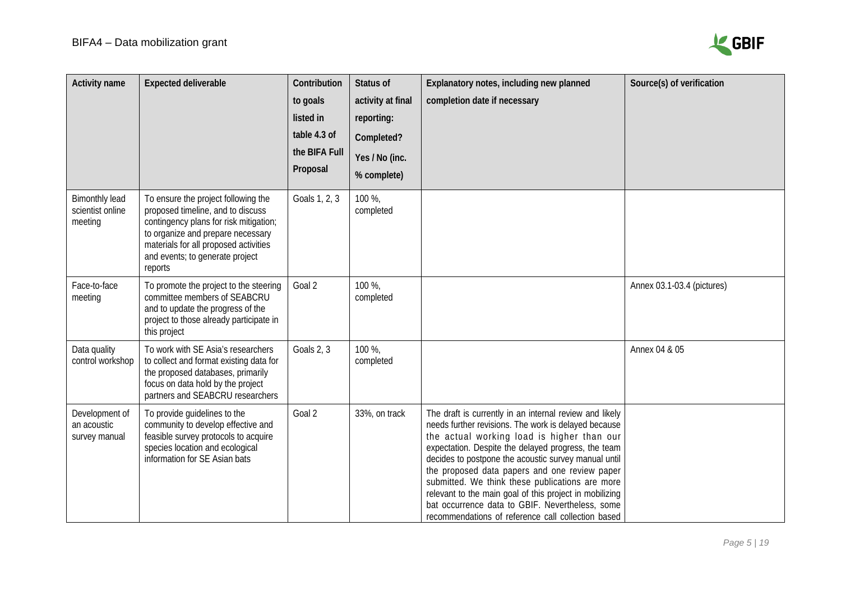

| <b>Activity name</b>                                 | <b>Expected deliverable</b>                                                                                                                                                                                                                    | Contribution<br>to goals<br>listed in<br>table 4.3 of<br>the BIFA Full<br>Proposal | Status of<br>activity at final<br>reporting:<br>Completed?<br>Yes / No (inc.<br>% complete) | Explanatory notes, including new planned<br>completion date if necessary                                                                                                                                                                                                                                                                                                                                                                                                                                                                             | Source(s) of verification  |
|------------------------------------------------------|------------------------------------------------------------------------------------------------------------------------------------------------------------------------------------------------------------------------------------------------|------------------------------------------------------------------------------------|---------------------------------------------------------------------------------------------|------------------------------------------------------------------------------------------------------------------------------------------------------------------------------------------------------------------------------------------------------------------------------------------------------------------------------------------------------------------------------------------------------------------------------------------------------------------------------------------------------------------------------------------------------|----------------------------|
| <b>Bimonthly lead</b><br>scientist online<br>meeting | To ensure the project following the<br>proposed timeline, and to discuss<br>contingency plans for risk mitigation;<br>to organize and prepare necessary<br>materials for all proposed activities<br>and events; to generate project<br>reports | Goals 1, 2, 3                                                                      | 100 %,<br>completed                                                                         |                                                                                                                                                                                                                                                                                                                                                                                                                                                                                                                                                      |                            |
| Face-to-face<br>meeting                              | To promote the project to the steering<br>committee members of SEABCRU<br>and to update the progress of the<br>project to those already participate in<br>this project                                                                         | Goal 2                                                                             | 100 %,<br>completed                                                                         |                                                                                                                                                                                                                                                                                                                                                                                                                                                                                                                                                      | Annex 03.1-03.4 (pictures) |
| Data quality<br>control workshop                     | To work with SE Asia's researchers<br>to collect and format existing data for<br>the proposed databases, primarily<br>focus on data hold by the project<br>partners and SEABCRU researchers                                                    | Goals 2, 3                                                                         | 100 %,<br>completed                                                                         |                                                                                                                                                                                                                                                                                                                                                                                                                                                                                                                                                      | Annex 04 & 05              |
| Development of<br>an acoustic<br>survey manual       | To provide guidelines to the<br>community to develop effective and<br>feasible survey protocols to acquire<br>species location and ecological<br>information for SE Asian bats                                                                 | Goal 2                                                                             | 33%, on track                                                                               | The draft is currently in an internal review and likely<br>needs further revisions. The work is delayed because<br>the actual working load is higher than our<br>expectation. Despite the delayed progress, the team<br>decides to postpone the acoustic survey manual until<br>the proposed data papers and one review paper<br>submitted. We think these publications are more<br>relevant to the main goal of this project in mobilizing<br>bat occurrence data to GBIF. Nevertheless, some<br>recommendations of reference call collection based |                            |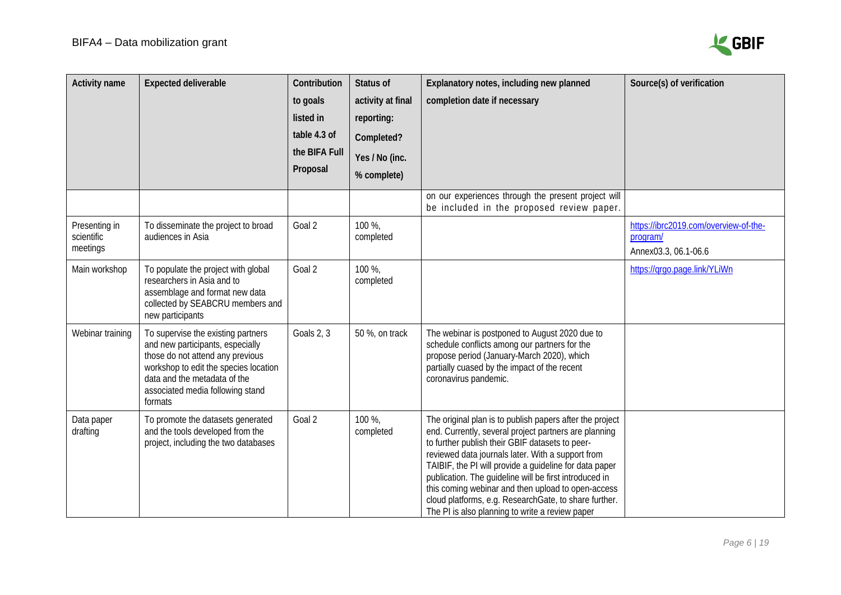

| <b>Activity name</b>                    | <b>Expected deliverable</b>                                                                                                                                                                                                        | Contribution<br>to goals<br>listed in<br>table 4.3 of<br>the BIFA Full<br>Proposal | <b>Status of</b><br>activity at final<br>reporting:<br>Completed?<br>Yes / No (inc.<br>% complete) | Explanatory notes, including new planned<br>completion date if necessary                                                                                                                                                                                                                                                                                                                                                                                                                                        | Source(s) of verification                                                 |
|-----------------------------------------|------------------------------------------------------------------------------------------------------------------------------------------------------------------------------------------------------------------------------------|------------------------------------------------------------------------------------|----------------------------------------------------------------------------------------------------|-----------------------------------------------------------------------------------------------------------------------------------------------------------------------------------------------------------------------------------------------------------------------------------------------------------------------------------------------------------------------------------------------------------------------------------------------------------------------------------------------------------------|---------------------------------------------------------------------------|
|                                         |                                                                                                                                                                                                                                    |                                                                                    |                                                                                                    | on our experiences through the present project will<br>be included in the proposed review paper.                                                                                                                                                                                                                                                                                                                                                                                                                |                                                                           |
| Presenting in<br>scientific<br>meetings | To disseminate the project to broad<br>audiences in Asia                                                                                                                                                                           | Goal 2                                                                             | 100 %,<br>completed                                                                                |                                                                                                                                                                                                                                                                                                                                                                                                                                                                                                                 | https://ibrc2019.com/overview-of-the-<br>program/<br>Annex03.3, 06.1-06.6 |
| Main workshop                           | To populate the project with global<br>researchers in Asia and to<br>assemblage and format new data<br>collected by SEABCRU members and<br>new participants                                                                        | Goal 2                                                                             | 100 %,<br>completed                                                                                |                                                                                                                                                                                                                                                                                                                                                                                                                                                                                                                 | https://grgo.page.link/YLiWn                                              |
| Webinar training                        | To supervise the existing partners<br>and new participants, especially<br>those do not attend any previous<br>workshop to edit the species location<br>data and the metadata of the<br>associated media following stand<br>formats | Goals 2, 3                                                                         | 50 %, on track                                                                                     | The webinar is postponed to August 2020 due to<br>schedule conflicts among our partners for the<br>propose period (January-March 2020), which<br>partially cuased by the impact of the recent<br>coronavirus pandemic.                                                                                                                                                                                                                                                                                          |                                                                           |
| Data paper<br>drafting                  | To promote the datasets generated<br>and the tools developed from the<br>project, including the two databases                                                                                                                      | Goal 2                                                                             | 100 %,<br>completed                                                                                | The original plan is to publish papers after the project<br>end. Currently, several project partners are planning<br>to further publish their GBIF datasets to peer-<br>reviewed data journals later. With a support from<br>TAIBIF, the PI will provide a guideline for data paper<br>publication. The guideline will be first introduced in<br>this coming webinar and then upload to open-access<br>cloud platforms, e.g. ResearchGate, to share further.<br>The PI is also planning to write a review paper |                                                                           |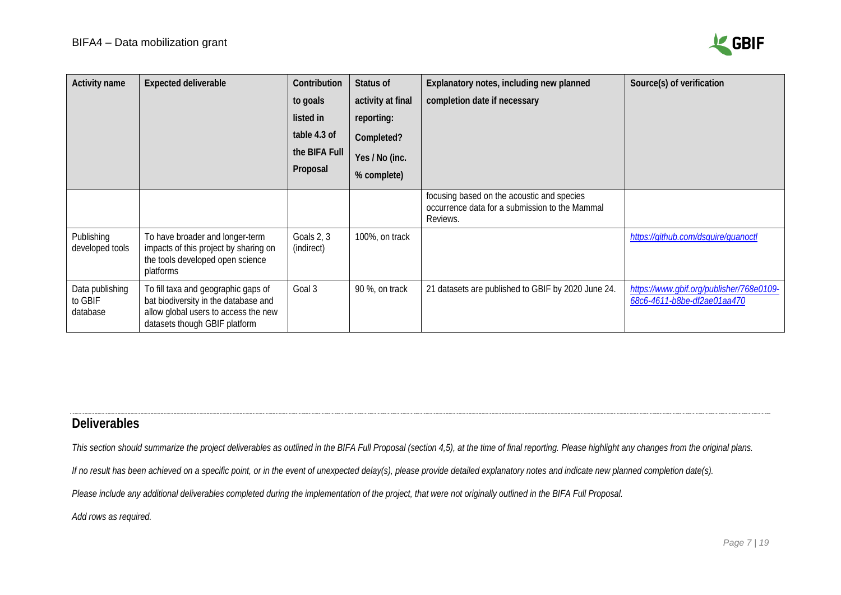

| <b>Activity name</b>                   | <b>Expected deliverable</b>                                                                                                                          | Contribution<br>to goals<br>listed in<br>table 4.3 of<br>the BIFA Full<br>Proposal | Status of<br>activity at final<br>reporting:<br>Completed?<br>Yes / No (inc.<br>% complete) | Explanatory notes, including new planned<br>completion date if necessary                                 | Source(s) of verification                                               |
|----------------------------------------|------------------------------------------------------------------------------------------------------------------------------------------------------|------------------------------------------------------------------------------------|---------------------------------------------------------------------------------------------|----------------------------------------------------------------------------------------------------------|-------------------------------------------------------------------------|
|                                        |                                                                                                                                                      |                                                                                    |                                                                                             | focusing based on the acoustic and species<br>occurrence data for a submission to the Mammal<br>Reviews. |                                                                         |
| Publishing<br>developed tools          | To have broader and longer-term<br>impacts of this project by sharing on<br>the tools developed open science<br>platforms                            | Goals 2, 3<br>(indirect)                                                           | 100%, on track                                                                              |                                                                                                          | https://github.com/dsquire/guanoctl                                     |
| Data publishing<br>to GBIF<br>database | To fill taxa and geographic gaps of<br>bat biodiversity in the database and<br>allow global users to access the new<br>datasets though GBIF platform | Goal 3                                                                             | 90 %, on track                                                                              | 21 datasets are published to GBIF by 2020 June 24.                                                       | https://www.gbif.org/publisher/768e0109-<br>68c6-4611-b8be-df2ae01aa470 |

### **Deliverables**

This section should summarize the project deliverables as outlined in the BIFA Full Proposal (section 4,5), at the time of final reporting. Please highlight any changes from the original plans.

If no result has been achieved on a specific point, or in the event of unexpected delay(s), please provide detailed explanatory notes and indicate new planned completion date(s).

*Please include any additional deliverables completed during the implementation of the project, that were not originally outlined in the BIFA Full Proposal.*

<span id="page-6-0"></span>*Add rows as required.*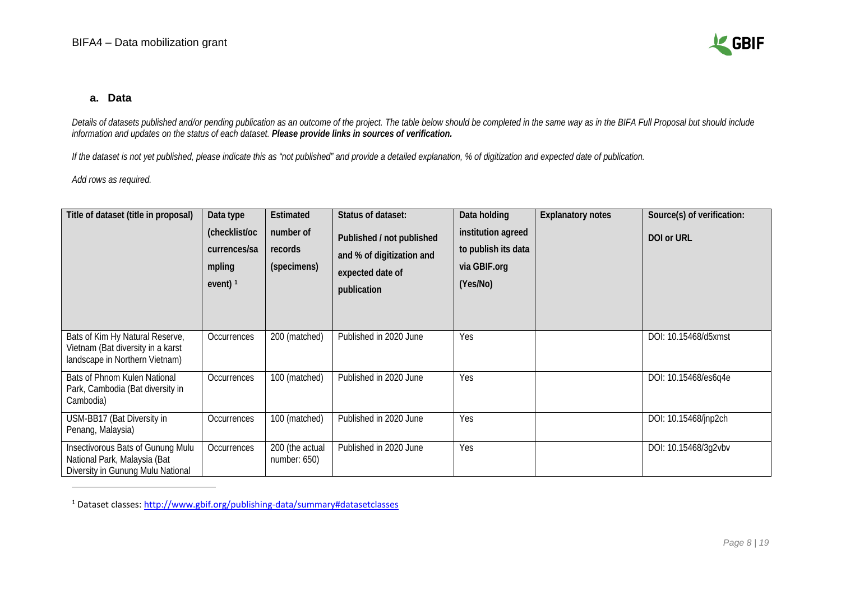<span id="page-7-0"></span>

#### **a. Data**

*Details of datasets published and/or pending publication as an outcome of the project. The table below should be completed in the same way as in the BIFA Full Proposal but should include information and updates on the status of each dataset. Please provide links in sources of verification.*

*If the dataset is not yet published, please indicate this as "not published" and provide a detailed explanation, % of digitization and expected date of publication.* 

*Add rows as required.*

 $\ddot{\phantom{a}}$ 

| Title of dataset (title in proposal)                                                                   | Data type<br>(checklist/oc<br>currences/sa<br>mpling<br>event) $1$ | Estimated<br>number of<br>records<br>(specimens) | Status of dataset:<br>Published / not published<br>and % of digitization and<br>expected date of<br>publication | Data holding<br>institution agreed<br>to publish its data<br>via GBIF.org<br>(Yes/No) | <b>Explanatory notes</b> | Source(s) of verification:<br><b>DOI or URL</b> |
|--------------------------------------------------------------------------------------------------------|--------------------------------------------------------------------|--------------------------------------------------|-----------------------------------------------------------------------------------------------------------------|---------------------------------------------------------------------------------------|--------------------------|-------------------------------------------------|
| Bats of Kim Hy Natural Reserve,<br>Vietnam (Bat diversity in a karst<br>landscape in Northern Vietnam) | Occurrences                                                        | 200 (matched)                                    | Published in 2020 June                                                                                          | Yes                                                                                   |                          | DOI: 10.15468/d5xmst                            |
| Bats of Phnom Kulen National<br>Park, Cambodia (Bat diversity in<br>Cambodia)                          | Occurrences                                                        | 100 (matched)                                    | Published in 2020 June                                                                                          | Yes                                                                                   |                          | DOI: 10.15468/es6q4e                            |
| USM-BB17 (Bat Diversity in<br>Penang, Malaysia)                                                        | Occurrences                                                        | 100 (matched)                                    | Published in 2020 June                                                                                          | Yes                                                                                   |                          | DOI: 10.15468/jnp2ch                            |
| Insectivorous Bats of Gunung Mulu<br>National Park, Malaysia (Bat<br>Diversity in Gunung Mulu National | Occurrences                                                        | 200 (the actual<br>number: $650$ )               | Published in 2020 June                                                                                          | Yes                                                                                   |                          | DOI: 10.15468/3g2vbv                            |

<sup>1</sup> Dataset classes:<http://www.gbif.org/publishing-data/summary#datasetclasses>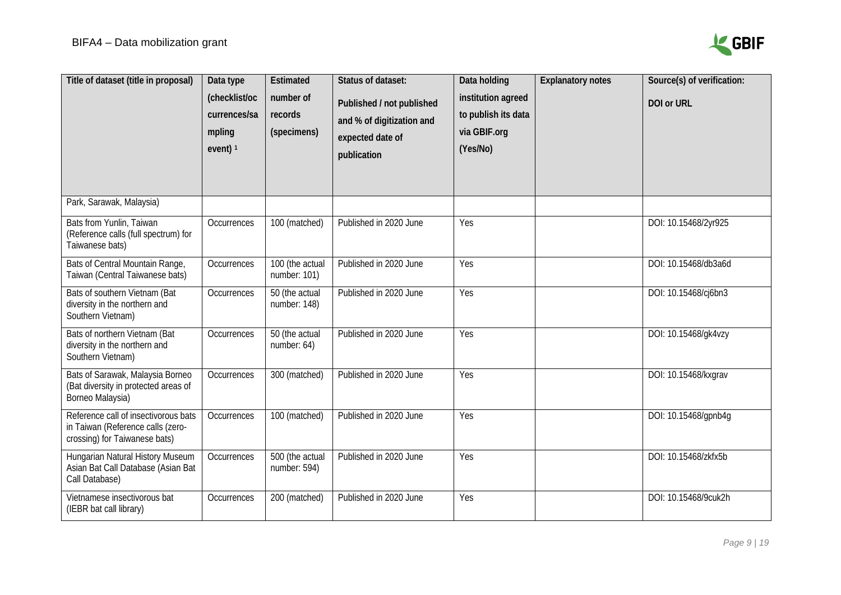

| Title of dataset (title in proposal)                                                                       | Data type<br>(checklist/oc<br>currences/sa<br>mpling<br>event) $1$ | Estimated<br>number of<br>records<br>(specimens) | Status of dataset:<br>Published / not published<br>and % of digitization and<br>expected date of<br>publication | Data holding<br>institution agreed<br>to publish its data<br>via GBIF.org<br>(Yes/No) | <b>Explanatory notes</b> | Source(s) of verification:<br>DOI or URL |
|------------------------------------------------------------------------------------------------------------|--------------------------------------------------------------------|--------------------------------------------------|-----------------------------------------------------------------------------------------------------------------|---------------------------------------------------------------------------------------|--------------------------|------------------------------------------|
| Park, Sarawak, Malaysia)                                                                                   |                                                                    |                                                  |                                                                                                                 |                                                                                       |                          |                                          |
| Bats from Yunlin, Taiwan<br>(Reference calls (full spectrum) for<br>Taiwanese bats)                        | Occurrences                                                        | 100 (matched)                                    | Published in 2020 June                                                                                          | Yes                                                                                   |                          | DOI: 10.15468/2yr925                     |
| Bats of Central Mountain Range,<br>Taiwan (Central Taiwanese bats)                                         | Occurrences                                                        | 100 (the actual<br>number: 101)                  | Published in 2020 June                                                                                          | Yes                                                                                   |                          | DOI: 10.15468/db3a6d                     |
| Bats of southern Vietnam (Bat<br>diversity in the northern and<br>Southern Vietnam)                        | Occurrences                                                        | 50 (the actual<br>number: 148)                   | Published in 2020 June                                                                                          | Yes                                                                                   |                          | DOI: 10.15468/cj6bn3                     |
| Bats of northern Vietnam (Bat<br>diversity in the northern and<br>Southern Vietnam)                        | Occurrences                                                        | 50 (the actual<br>number: 64)                    | Published in 2020 June                                                                                          | Yes                                                                                   |                          | DOI: 10.15468/gk4vzy                     |
| Bats of Sarawak, Malaysia Borneo<br>(Bat diversity in protected areas of<br>Borneo Malaysia)               | Occurrences                                                        | 300 (matched)                                    | Published in 2020 June                                                                                          | Yes                                                                                   |                          | DOI: 10.15468/kxgrav                     |
| Reference call of insectivorous bats<br>in Taiwan (Reference calls (zero-<br>crossing) for Taiwanese bats) | Occurrences                                                        | 100 (matched)                                    | Published in 2020 June                                                                                          | Yes                                                                                   |                          | DOI: 10.15468/gpnb4g                     |
| Hungarian Natural History Museum<br>Asian Bat Call Database (Asian Bat<br>Call Database)                   | Occurrences                                                        | 500 (the actual<br>number: 594)                  | Published in 2020 June                                                                                          | Yes                                                                                   |                          | DOI: 10.15468/zkfx5b                     |
| Vietnamese insectivorous bat<br>(IEBR bat call library)                                                    | Occurrences                                                        | 200 (matched)                                    | Published in 2020 June                                                                                          | Yes                                                                                   |                          | DOI: 10.15468/9cuk2h                     |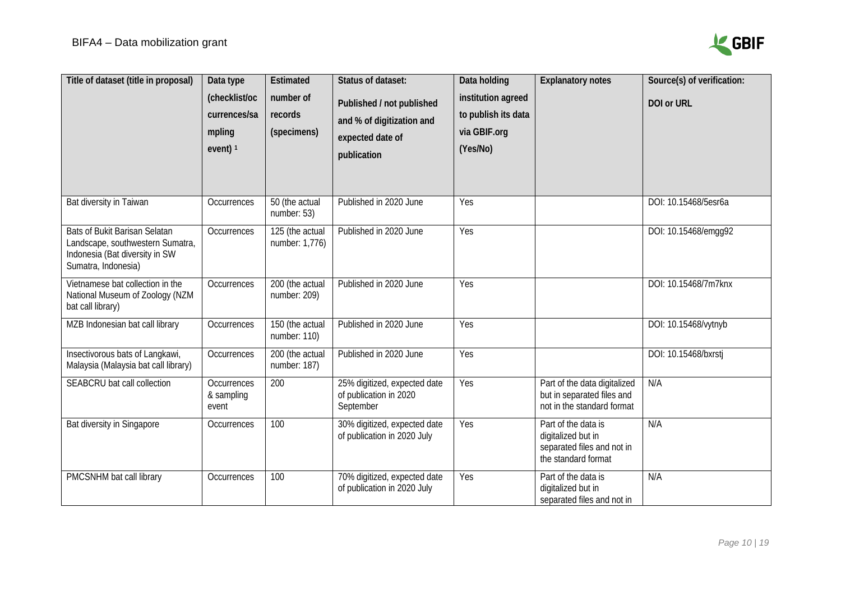

| Title of dataset (title in proposal)                                                                                              | Data type<br>(checklist/oc<br>currences/sa<br>mpling<br>event) $1$ | Estimated<br>number of<br>records<br>(specimens) | Status of dataset:<br>Published / not published<br>and % of digitization and<br>expected date of<br>publication | Data holding<br>institution agreed<br>to publish its data<br>via GBIF.org<br>(Yes/No) | <b>Explanatory notes</b>                                                                       | Source(s) of verification:<br>DOI or URL |
|-----------------------------------------------------------------------------------------------------------------------------------|--------------------------------------------------------------------|--------------------------------------------------|-----------------------------------------------------------------------------------------------------------------|---------------------------------------------------------------------------------------|------------------------------------------------------------------------------------------------|------------------------------------------|
| Bat diversity in Taiwan                                                                                                           | Occurrences                                                        | 50 (the actual<br>number: 53)                    | Published in 2020 June                                                                                          | Yes                                                                                   |                                                                                                | DOI: 10.15468/5esr6a                     |
| <b>Bats of Bukit Barisan Selatan</b><br>Landscape, southwestern Sumatra,<br>Indonesia (Bat diversity in SW<br>Sumatra, Indonesia) | Occurrences                                                        | 125 (the actual<br>number: 1,776)                | Published in 2020 June                                                                                          | Yes                                                                                   |                                                                                                | DOI: 10.15468/emgg92                     |
| Vietnamese bat collection in the<br>National Museum of Zoology (NZM<br>bat call library)                                          | Occurrences                                                        | 200 (the actual<br>number: 209)                  | Published in 2020 June                                                                                          | Yes                                                                                   |                                                                                                | DOI: 10.15468/7m7knx                     |
| MZB Indonesian bat call library                                                                                                   | Occurrences                                                        | 150 (the actual<br>number: $110$ )               | Published in 2020 June                                                                                          | Yes                                                                                   |                                                                                                | DOI: 10.15468/vytnyb                     |
| Insectivorous bats of Langkawi,<br>Malaysia (Malaysia bat call library)                                                           | Occurrences                                                        | 200 (the actual<br>number: 187)                  | Published in 2020 June                                                                                          | Yes                                                                                   |                                                                                                | DOI: 10.15468/bxrstj                     |
| SEABCRU bat call collection                                                                                                       | Occurrences<br>& sampling<br>event                                 | 200                                              | 25% digitized, expected date<br>of publication in 2020<br>September                                             | Yes                                                                                   | Part of the data digitalized<br>but in separated files and<br>not in the standard format       | N/A                                      |
| Bat diversity in Singapore                                                                                                        | Occurrences                                                        | 100                                              | 30% digitized, expected date<br>of publication in 2020 July                                                     | Yes                                                                                   | Part of the data is<br>digitalized but in<br>separated files and not in<br>the standard format | N/A                                      |
| PMCSNHM bat call library                                                                                                          | Occurrences                                                        | 100                                              | 70% digitized, expected date<br>of publication in 2020 July                                                     | Yes                                                                                   | Part of the data is<br>digitalized but in<br>separated files and not in                        | N/A                                      |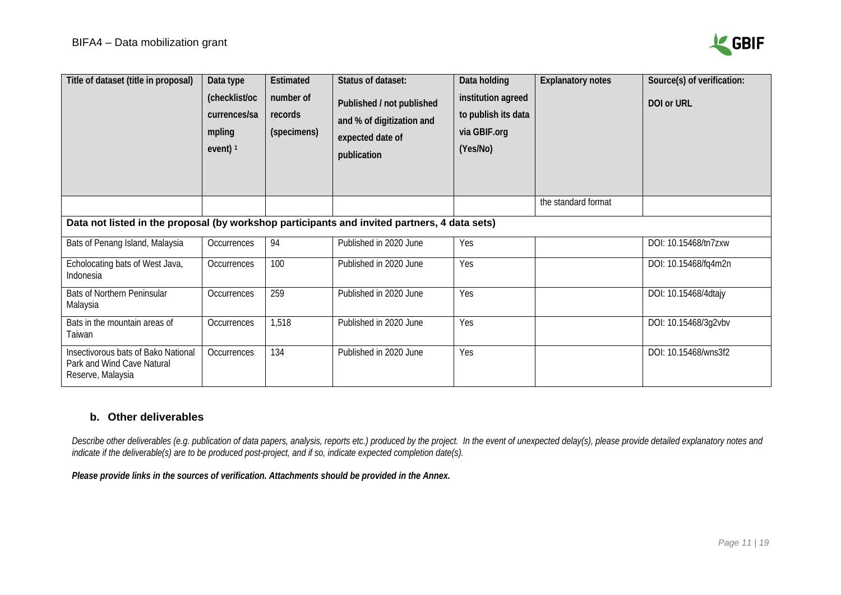

| Title of dataset (title in proposal)                                                         | Data type<br>(checklist/oc<br>currences/sa<br>mpling<br>event) $1$ | Estimated<br>number of<br>records<br>(specimens) | Status of dataset:<br>Published / not published<br>and % of digitization and<br>expected date of<br>publication | Data holding<br>institution agreed<br>to publish its data<br>via GBIF.org<br>(Yes/No) | <b>Explanatory notes</b> | Source(s) of verification:<br>DOI or URL |
|----------------------------------------------------------------------------------------------|--------------------------------------------------------------------|--------------------------------------------------|-----------------------------------------------------------------------------------------------------------------|---------------------------------------------------------------------------------------|--------------------------|------------------------------------------|
|                                                                                              |                                                                    |                                                  |                                                                                                                 |                                                                                       | the standard format      |                                          |
| Data not listed in the proposal (by workshop participants and invited partners, 4 data sets) |                                                                    |                                                  |                                                                                                                 |                                                                                       |                          |                                          |
| Bats of Penang Island, Malaysia                                                              | Occurrences                                                        | 94                                               | Published in 2020 June                                                                                          | Yes                                                                                   |                          | DOI: 10.15468/tn7zxw                     |
| Echolocating bats of West Java,<br>Indonesia                                                 | Occurrences                                                        | 100                                              | Published in 2020 June                                                                                          | Yes                                                                                   |                          | DOI: 10.15468/fq4m2n                     |
| <b>Bats of Northern Peninsular</b><br>Malaysia                                               | Occurrences                                                        | 259                                              | Published in 2020 June                                                                                          | Yes                                                                                   |                          | DOI: 10.15468/4dtajy                     |
| Bats in the mountain areas of<br>Taiwan                                                      | Occurrences                                                        | 1,518                                            | Published in 2020 June                                                                                          | Yes                                                                                   |                          | DOI: 10.15468/3g2vbv                     |
| Insectivorous bats of Bako National<br>Park and Wind Cave Natural<br>Reserve, Malaysia       | Occurrences                                                        | 134                                              | Published in 2020 June                                                                                          | Yes                                                                                   |                          | DOI: 10.15468/wns3f2                     |

### **b. Other deliverables**

Describe other deliverables (e.g. publication of [data papers,](https://www.gbif.org/data-papers) analysis, reports etc.) produced by the project. In the event of unexpected delay(s), please provide detailed explanatory notes and *indicate if the deliverable(s) are to be produced post-project, and if so, indicate expected completion date(s).* 

*Please provide links in the sources of verification. Attachments should be provided in the Annex.*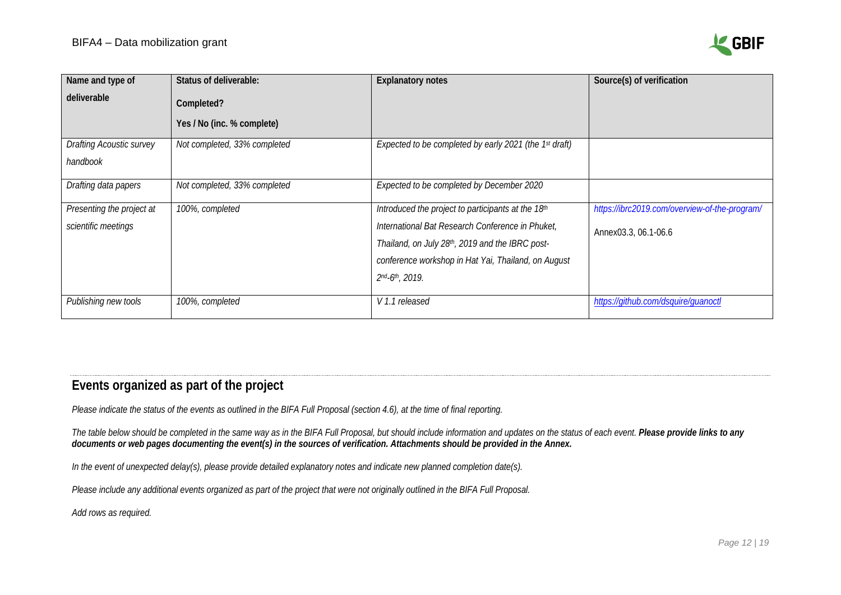

| Name and type of                | Status of deliverable:       | <b>Explanatory notes</b>                               | Source(s) of verification                     |
|---------------------------------|------------------------------|--------------------------------------------------------|-----------------------------------------------|
| deliverable                     | Completed?                   |                                                        |                                               |
|                                 | Yes / No (inc. % complete)   |                                                        |                                               |
| <b>Drafting Acoustic survey</b> | Not completed, 33% completed | Expected to be completed by early 2021 (the 1st draft) |                                               |
| handbook                        |                              |                                                        |                                               |
| Drafting data papers            | Not completed, 33% completed | Expected to be completed by December 2020              |                                               |
| Presenting the project at       | 100%, completed              | Introduced the project to participants at the 18th     | https://ibrc2019.com/overview-of-the-program/ |
| scientific meetings             |                              | International Bat Research Conference in Phuket,       | Annex03.3, 06.1-06.6                          |
|                                 |                              | Thailand, on July 28th, 2019 and the IBRC post-        |                                               |
|                                 |                              | conference workshop in Hat Yai, Thailand, on August    |                                               |
|                                 |                              | 2nd-6th, 2019.                                         |                                               |
| Publishing new tools            | 100%, completed              | V 1.1 released                                         | https://github.com/dsquire/guanoctl           |

# **Events organized as part of the project**

*Please indicate the status of the events as outlined in the BIFA Full Proposal (section 4.6), at the time of final reporting.* 

*The table below should be completed in the same way as in the BIFA Full Proposal, but should include information and updates on the status of each event. Please provide links to any documents or web pages documenting the event(s) in the sources of verification. Attachments should be provided in the Annex.*

*In the event of unexpected delay(s), please provide detailed explanatory notes and indicate new planned completion date(s).*

*Please include any additional events organized as part of the project that were not originally outlined in the BIFA Full Proposal.*

<span id="page-11-0"></span>*Add rows as required.*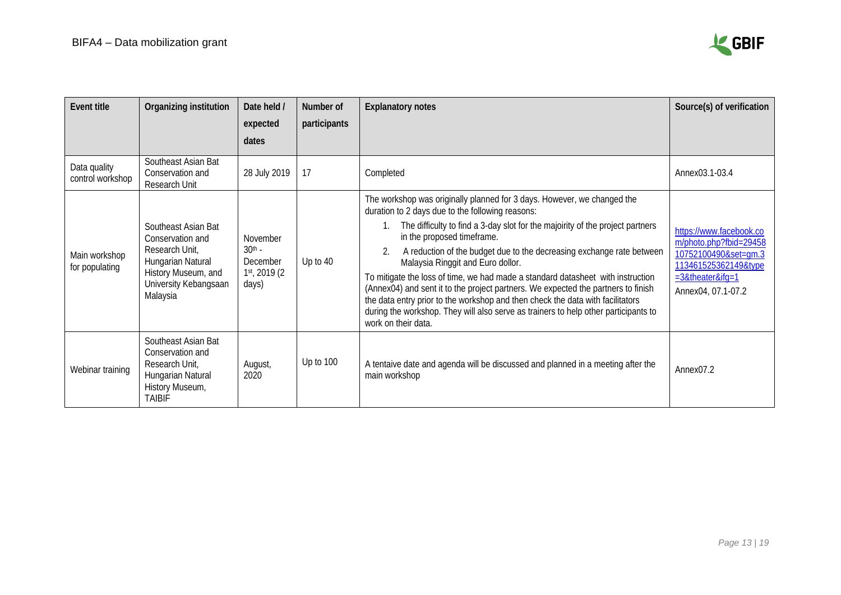

| <b>Event title</b>               | Organizing institution                                                                                                                     | Date held /<br>expected<br>dates                          | Number of<br>participants | <b>Explanatory notes</b>                                                                                                                                                                                                                                                                                                                                                                                                                                                                                                                                                                                                                                                                                                         | Source(s) of verification                                                                                                                      |
|----------------------------------|--------------------------------------------------------------------------------------------------------------------------------------------|-----------------------------------------------------------|---------------------------|----------------------------------------------------------------------------------------------------------------------------------------------------------------------------------------------------------------------------------------------------------------------------------------------------------------------------------------------------------------------------------------------------------------------------------------------------------------------------------------------------------------------------------------------------------------------------------------------------------------------------------------------------------------------------------------------------------------------------------|------------------------------------------------------------------------------------------------------------------------------------------------|
| Data quality<br>control workshop | Southeast Asian Bat<br>Conservation and<br>Research Unit                                                                                   | 28 July 2019                                              | 17                        | Completed                                                                                                                                                                                                                                                                                                                                                                                                                                                                                                                                                                                                                                                                                                                        | Annex03.1-03.4                                                                                                                                 |
| Main workshop<br>for populating  | Southeast Asian Bat<br>Conservation and<br>Research Unit,<br>Hungarian Natural<br>History Museum, and<br>University Kebangsaan<br>Malaysia | November<br>$30th$ -<br>December<br>1st, 2019 (2<br>days) | Up to 40                  | The workshop was originally planned for 3 days. However, we changed the<br>duration to 2 days due to the following reasons:<br>The difficulty to find a 3-day slot for the majoirity of the project partners<br>in the proposed timeframe.<br>A reduction of the budget due to the decreasing exchange rate between<br>Malaysia Ringgit and Euro dollor.<br>To mitigate the loss of time, we had made a standard datasheet with instruction<br>(Annex04) and sent it to the project partners. We expected the partners to finish<br>the data entry prior to the workshop and then check the data with facilitators<br>during the workshop. They will also serve as trainers to help other participants to<br>work on their data. | https://www.facebook.co<br>m/photo.php?fbid=29458<br>10752100490&set=gm.3<br>113461525362149&type<br>$=3$ &theater&ifg=1<br>Annex04, 07.1-07.2 |
| Webinar training                 | Southeast Asian Bat<br>Conservation and<br>Research Unit,<br>Hungarian Natural<br>History Museum,<br><b>TAIRIF</b>                         | August,<br>2020                                           | Up to 100                 | A tentaive date and agenda will be discussed and planned in a meeting after the<br>main workshop                                                                                                                                                                                                                                                                                                                                                                                                                                                                                                                                                                                                                                 | Annex <sub>07.2</sub>                                                                                                                          |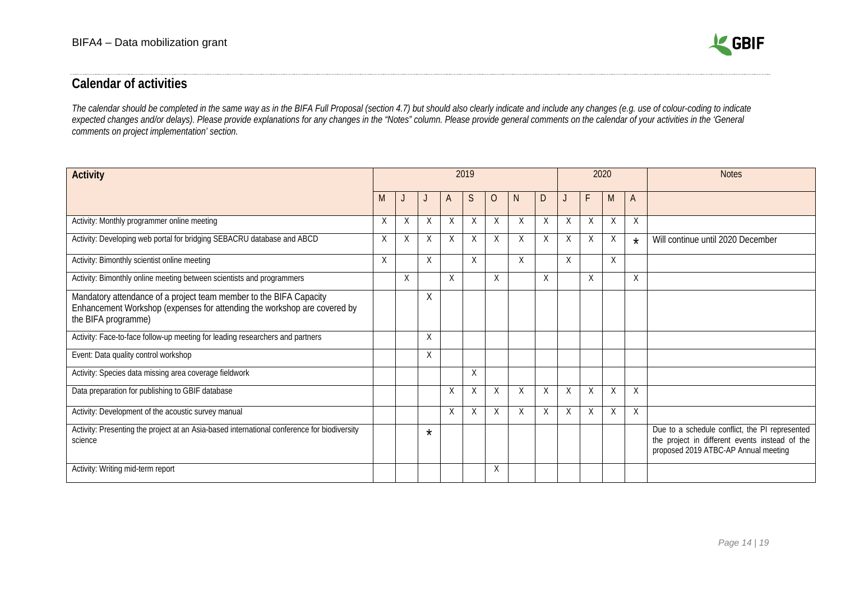

# **Calendar of activities**

*The calendar should be completed in the same way as in the BIFA Full Proposal (section 4.7) but should also clearly indicate and include any changes (e.g. use of colour-coding to indicate expected changes and/or delays). Please provide explanations for any changes in the "Notes" column. Please provide general comments on the calendar of your activities in the 'General comments on project implementation' section.* 

<span id="page-13-0"></span>

| <b>Activity</b>                                                                                                                                                       | 2019 |   |         |          |   |   |    |   |   | 2020 |   | <b>Notes</b> |                                                                                                                                          |
|-----------------------------------------------------------------------------------------------------------------------------------------------------------------------|------|---|---------|----------|---|---|----|---|---|------|---|--------------|------------------------------------------------------------------------------------------------------------------------------------------|
|                                                                                                                                                                       | M    |   |         | A        | S | O | N. | D |   | F    | M | A            |                                                                                                                                          |
| Activity: Monthly programmer online meeting                                                                                                                           | X    | X | X       | X        | X | X | X  | X | X | X    | X | X            |                                                                                                                                          |
| Activity: Developing web portal for bridging SEBACRU database and ABCD                                                                                                | X    | X | X       | $\times$ | X | X | X  | X | X | X    | X | $\star$      | Will continue until 2020 December                                                                                                        |
| Activity: Bimonthly scientist online meeting                                                                                                                          | X    |   | Χ       |          | X |   | X  |   | X |      | X |              |                                                                                                                                          |
| Activity: Bimonthly online meeting between scientists and programmers                                                                                                 |      | X |         | X        |   | X |    | X |   | X    |   | X            |                                                                                                                                          |
| Mandatory attendance of a project team member to the BIFA Capacity<br>Enhancement Workshop (expenses for attending the workshop are covered by<br>the BIFA programme) |      |   | Χ       |          |   |   |    |   |   |      |   |              |                                                                                                                                          |
| Activity: Face-to-face follow-up meeting for leading researchers and partners                                                                                         |      |   | Χ       |          |   |   |    |   |   |      |   |              |                                                                                                                                          |
| Event: Data quality control workshop                                                                                                                                  |      |   | X       |          |   |   |    |   |   |      |   |              |                                                                                                                                          |
| Activity: Species data missing area coverage fieldwork                                                                                                                |      |   |         |          | X |   |    |   |   |      |   |              |                                                                                                                                          |
| Data preparation for publishing to GBIF database                                                                                                                      |      |   |         | X        | X | X | X  | X | Χ | X    | Χ | $\chi$       |                                                                                                                                          |
| Activity: Development of the acoustic survey manual                                                                                                                   |      |   |         | X        | X | X | X  | X | X | X    | X | X            |                                                                                                                                          |
| Activity: Presenting the project at an Asia-based international conference for biodiversity<br>science                                                                |      |   | $\star$ |          |   |   |    |   |   |      |   |              | Due to a schedule conflict, the PI represented<br>the project in different events instead of the<br>proposed 2019 ATBC-AP Annual meeting |
| Activity: Writing mid-term report                                                                                                                                     |      |   |         |          |   | X |    |   |   |      |   |              |                                                                                                                                          |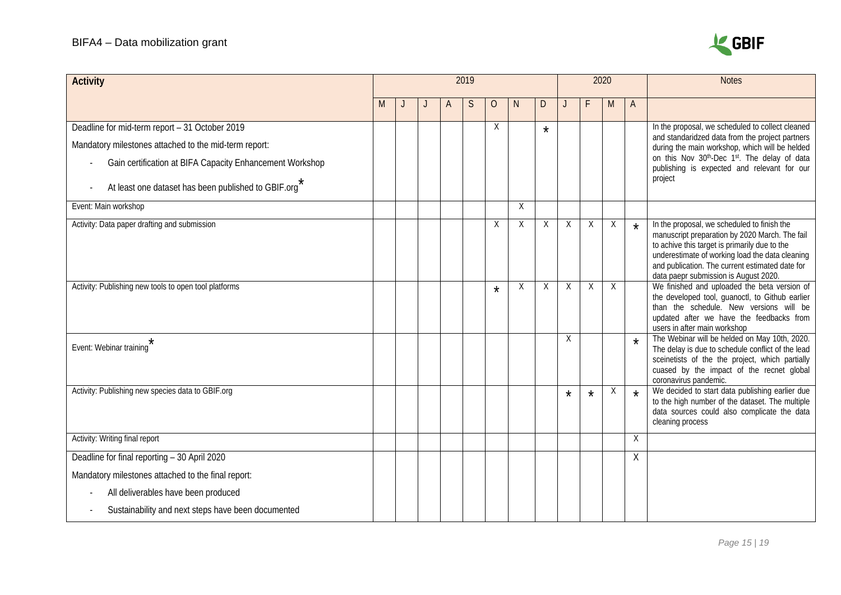

| <b>Activity</b>                                          | 2019 |  |  |   |   |         |    |         |          |         | 2020 |         | <b>Notes</b>                                                                                                                                                                                                                                                                                  |
|----------------------------------------------------------|------|--|--|---|---|---------|----|---------|----------|---------|------|---------|-----------------------------------------------------------------------------------------------------------------------------------------------------------------------------------------------------------------------------------------------------------------------------------------------|
|                                                          | M    |  |  | A | S | $\circ$ | N. | D       |          |         | M    | A       |                                                                                                                                                                                                                                                                                               |
| Deadline for mid-term report - 31 October 2019           |      |  |  |   |   | Χ       |    | $\star$ |          |         |      |         | In the proposal, we scheduled to collect cleaned                                                                                                                                                                                                                                              |
| Mandatory milestones attached to the mid-term report:    |      |  |  |   |   |         |    |         |          |         |      |         | and standaridzed data from the project partners<br>during the main workshop, which will be helded                                                                                                                                                                                             |
| Gain certification at BIFA Capacity Enhancement Workshop |      |  |  |   |   |         |    |         |          |         |      |         | on this Nov 30th-Dec 1st. The delay of data<br>publishing is expected and relevant for our                                                                                                                                                                                                    |
| At least one dataset has been published to GBIF.org      |      |  |  |   |   |         |    |         |          |         |      |         | project                                                                                                                                                                                                                                                                                       |
| Event: Main workshop                                     |      |  |  |   |   |         | Χ  |         |          |         |      |         |                                                                                                                                                                                                                                                                                               |
| Activity: Data paper drafting and submission             |      |  |  |   |   | Χ       | Χ  | X       | Χ        | Χ       | Χ    | $\star$ | In the proposal, we scheduled to finish the<br>manuscript preparation by 2020 March. The fail<br>to achive this target is primarily due to the<br>underestimate of working load the data cleaning<br>and publication. The current estimated date for<br>data paepr submission is August 2020. |
| Activity: Publishing new tools to open tool platforms    |      |  |  |   |   | $\star$ | X  | X       | Χ        | X       | X    |         | We finished and uploaded the beta version of<br>the developed tool, guanoctl, to Github earlier<br>than the schedule. New versions will be<br>updated after we have the feedbacks from<br>users in after main workshop                                                                        |
| $\star$<br>Event: Webinar training                       |      |  |  |   |   |         |    |         | X        |         |      | $\star$ | The Webinar will be helded on May 10th, 2020.<br>The delay is due to schedule conflict of the lead<br>sceinetists of the the project, which partially<br>cuased by the impact of the recnet global<br>coronavirus pandemic.                                                                   |
| Activity: Publishing new species data to GBIF.org        |      |  |  |   |   |         |    |         | $^\star$ | $\star$ | Χ    | $\star$ | We decided to start data publishing earlier due<br>to the high number of the dataset. The multiple<br>data sources could also complicate the data<br>cleaning process                                                                                                                         |
| Activity: Writing final report                           |      |  |  |   |   |         |    |         |          |         |      | X       |                                                                                                                                                                                                                                                                                               |
| Deadline for final reporting - 30 April 2020             |      |  |  |   |   |         |    |         |          |         |      | Χ       |                                                                                                                                                                                                                                                                                               |
| Mandatory milestones attached to the final report:       |      |  |  |   |   |         |    |         |          |         |      |         |                                                                                                                                                                                                                                                                                               |
| All deliverables have been produced                      |      |  |  |   |   |         |    |         |          |         |      |         |                                                                                                                                                                                                                                                                                               |
| Sustainability and next steps have been documented       |      |  |  |   |   |         |    |         |          |         |      |         |                                                                                                                                                                                                                                                                                               |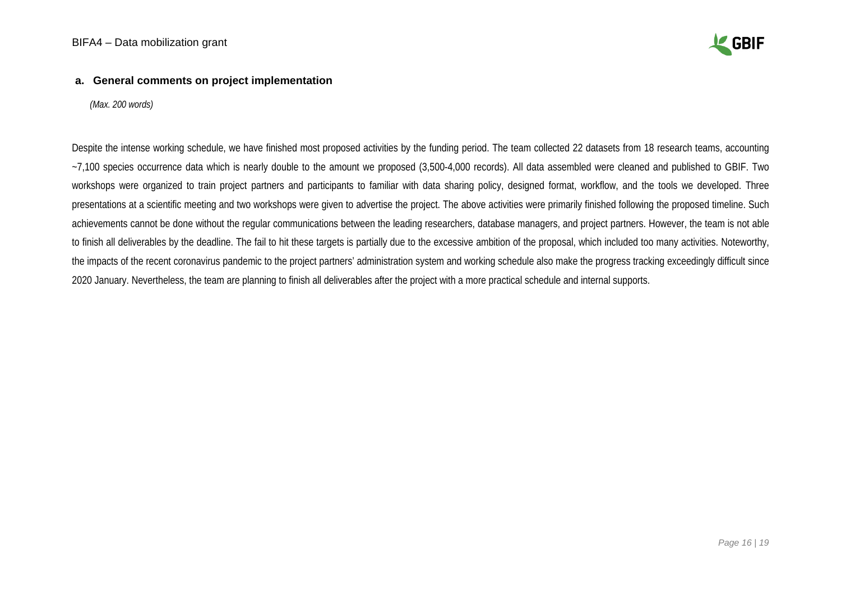

#### **a. General comments on project implementation**

*(Max. 200 words)*

Despite the intense working schedule, we have finished most proposed activities by the funding period. The team collected 22 datasets from 18 research teams, accounting ~7,100 species occurrence data which is nearly double to the amount we proposed (3,500-4,000 records). All data assembled were cleaned and published to GBIF. Two workshops were organized to train project partners and participants to familiar with data sharing policy, designed format, workflow, and the tools we developed. Three presentations at a scientific meeting and two workshops were given to advertise the project. The above activities were primarily finished following the proposed timeline. Such achievements cannot be done without the regular communications between the leading researchers, database managers, and project partners. However, the team is not able to finish all deliverables by the deadline. The fail to hit these targets is partially due to the excessive ambition of the proposal, which included too many activities. Noteworthy, the impacts of the recent coronavirus pandemic to the project partners' administration system and working schedule also make the progress tracking exceedingly difficult since 2020 January. Nevertheless, the team are planning to finish all deliverables after the project with a more practical schedule and internal supports.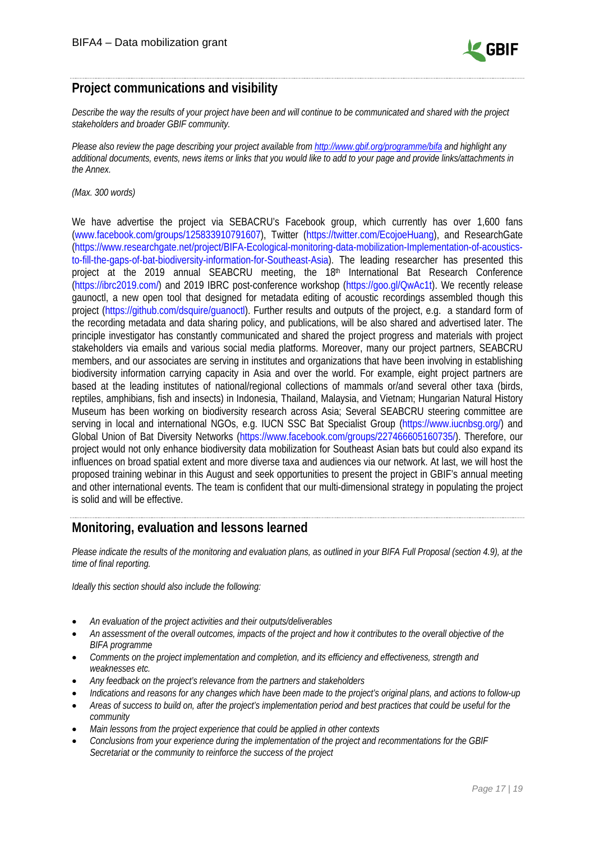

# <span id="page-16-0"></span>**Project communications and visibility**

*Describe the way the results of your project have been and will continue to be communicated and shared with the project stakeholders and broader GBIF community.* 

*Please also review the page describing your project available from<http://www.gbif.org/programme/bifa> and highlight any additional documents, events, news items or links that you would like to add to your page and provide links/attachments in the Annex.* 

*(Max. 300 words)*

We have advertise the project via SEBACRU's Facebook group, which currently has over 1,600 fans [\(www.facebook.com/groups/125833910791607\)](http://www.facebook.com/groups/125833910791607/?epa=SEARCH_BOX), Twitter [\(https://twitter.com/EcojoeHuang\)](https://twitter.com/EcojoeHuang/status/1144235370856366081/photo/1), and ResearchGate [\(https://www.researchgate.net/project/BIFA-Ecological-monitoring-data-mobilization-Implementation-of-acoustics](https://www.researchgate.net/project/BIFA-Ecological-monitoring-data-mobilization-Implementation-of-acoustics-to-fill-the-gaps-of-bat-biodiversity-information-for-Southeast-Asia)[to-fill-the-gaps-of-bat-biodiversity-information-for-Southeast-Asia\)](https://www.researchgate.net/project/BIFA-Ecological-monitoring-data-mobilization-Implementation-of-acoustics-to-fill-the-gaps-of-bat-biodiversity-information-for-Southeast-Asia). The leading researcher has presented this project at the 2019 annual SEABCRU meeting, the 18<sup>th</sup> International Bat Research Conference [\(https://ibrc2019.com/\)](https://ibrc2019.com/) and 2019 IBRC post-conference workshop [\(https://goo.gl/QwAc1t\)](https://goo.gl/QwAc1t?fbclid=IwAR3YsYThXLBkj0x3-S5e79teQ_cKxoGSoC1vu9xhfJBE66QISJLN1tNzcN8). We recently release gaunoctl, a new open tool that designed for metadata editing of acoustic recordings assembled though this project (https://github.com/dsquire/guanoctl). Further results and outputs of the project, e.g. a standard form of the recording metadata and data sharing policy, and publications, will be also shared and advertised later. The principle investigator has constantly communicated and shared the project progress and materials with project stakeholders via emails and various social media platforms. Moreover, many our project partners, SEABCRU members, and our associates are serving in institutes and organizations that have been involving in establishing biodiversity information carrying capacity in Asia and over the world. For example, eight project partners are based at the leading institutes of national/regional collections of mammals or/and several other taxa (birds, reptiles, amphibians, fish and insects) in Indonesia, Thailand, Malaysia, and Vietnam; Hungarian Natural History Museum has been working on biodiversity research across Asia; Several SEABCRU steering committee are serving in local and international NGOs, e.g. IUCN SSC Bat Specialist Group [\(https://www.iucnbsg.org/\)](https://www.iucnbsg.org/) and Global Union of Bat Diversity Networks (https://www.facebook.com/groups/227466605160735/). Therefore, our project would not only enhance biodiversity data mobilization for Southeast Asian bats but could also expand its influences on broad spatial extent and more diverse taxa and audiences via our network. At last, we will host the proposed training webinar in this August and seek opportunities to present the project in GBIF's annual meeting and other international events. The team is confident that our multi-dimensional strategy in populating the project is solid and will be effective.

### <span id="page-16-1"></span>**Monitoring, evaluation and lessons learned**

*Please indicate the results of the monitoring and evaluation plans, as outlined in your BIFA Full Proposal (section 4.9), at the time of final reporting.* 

*Ideally this section should also include the following:*

- *An evaluation of the project activities and their outputs/deliverables*
- *An assessment of the overall outcomes, impacts of the project and how it contributes to the overall objective of the BIFA programme*
- *Comments on the project implementation and completion, and its efficiency and effectiveness, strength and weaknesses etc.*
- *Any feedback on the project's relevance from the partners and stakeholders*
- *Indications and reasons for any changes which have been made to the project's original plans, and actions to follow-up*
- *Areas of success to build on, after the project's implementation period and best practices that could be useful for the community*
- *Main lessons from the project experience that could be applied in other contexts*
- *Conclusions from your experience during the implementation of the project and recommentations for the GBIF Secretariat or the community to reinforce the success of the project*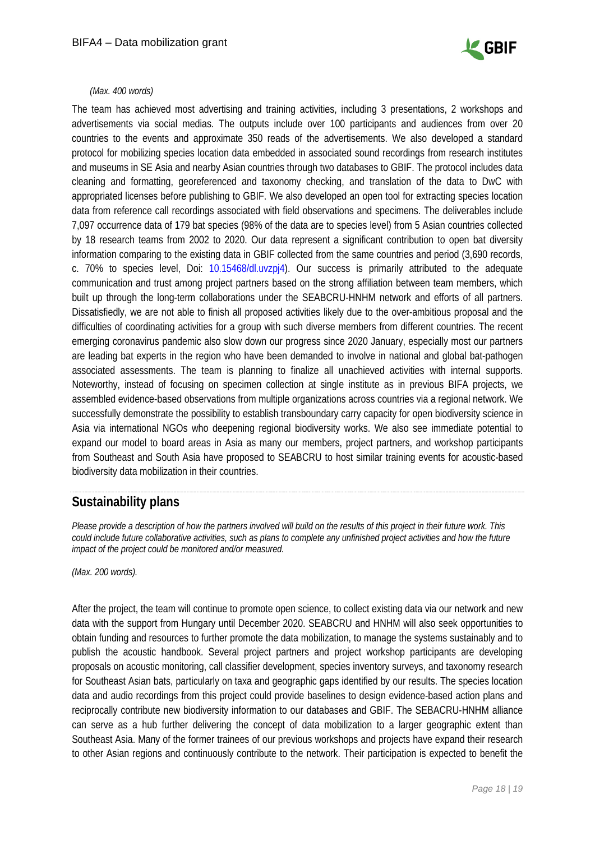

#### *(Max. 400 words)*

The team has achieved most advertising and training activities, including 3 presentations, 2 workshops and advertisements via social medias. The outputs include over 100 participants and audiences from over 20 countries to the events and approximate 350 reads of the advertisements. We also developed a standard protocol for mobilizing species location data embedded in associated sound recordings from research institutes and museums in SE Asia and nearby Asian countries through two databases to GBIF. The protocol includes data cleaning and formatting, georeferenced and taxonomy checking, and translation of the data to DwC with appropriated licenses before publishing to GBIF. We also developed an open tool for extracting species location data from reference call recordings associated with field observations and specimens. The deliverables include 7,097 occurrence data of 179 bat species (98% of the data are to species level) from 5 Asian countries collected by 18 research teams from 2002 to 2020. Our data represent a significant contribution to open bat diversity information comparing to the existing data in GBIF collected from the same countries and period (3,690 records, c. 70% to species level, Doi: [10.15468/dl.uvzpj4\)](https://doi.org/10.15468/dl.uvzpj4). Our success is primarily attributed to the adequate communication and trust among project partners based on the strong affiliation between team members, which built up through the long-term collaborations under the SEABCRU-HNHM network and efforts of all partners. Dissatisfiedly, we are not able to finish all proposed activities likely due to the over-ambitious proposal and the difficulties of coordinating activities for a group with such diverse members from different countries. The recent emerging coronavirus pandemic also slow down our progress since 2020 January, especially most our partners are leading bat experts in the region who have been demanded to involve in national and global bat-pathogen associated assessments. The team is planning to finalize all unachieved activities with internal supports. Noteworthy, instead of focusing on specimen collection at single institute as in previous BIFA projects, we assembled evidence-based observations from multiple organizations across countries via a regional network. We successfully demonstrate the possibility to establish transboundary carry capacity for open biodiversity science in Asia via international NGOs who deepening regional biodiversity works. We also see immediate potential to expand our model to board areas in Asia as many our members, project partners, and workshop participants from Southeast and South Asia have proposed to SEABCRU to host similar training events for acoustic-based biodiversity data mobilization in their countries.

### <span id="page-17-0"></span>**Sustainability plans**

*Please provide a description of how the partners involved will build on the results of this project in their future work. This could include future collaborative activities, such as plans to complete any unfinished project activities and how the future impact of the project could be monitored and/or measured.*

*(Max. 200 words).*

After the project, the team will continue to promote open science, to collect existing data via our network and new data with the support from Hungary until December 2020. SEABCRU and HNHM will also seek opportunities to obtain funding and resources to further promote the data mobilization, to manage the systems sustainably and to publish the acoustic handbook. Several project partners and project workshop participants are developing proposals on acoustic monitoring, call classifier development, species inventory surveys, and taxonomy research for Southeast Asian bats, particularly on taxa and geographic gaps identified by our results. The species location data and audio recordings from this project could provide baselines to design evidence-based action plans and reciprocally contribute new biodiversity information to our databases and GBIF. The SEBACRU-HNHM alliance can serve as a hub further delivering the concept of data mobilization to a larger geographic extent than Southeast Asia. Many of the former trainees of our previous workshops and projects have expand their research to other Asian regions and continuously contribute to the network. Their participation is expected to benefit the